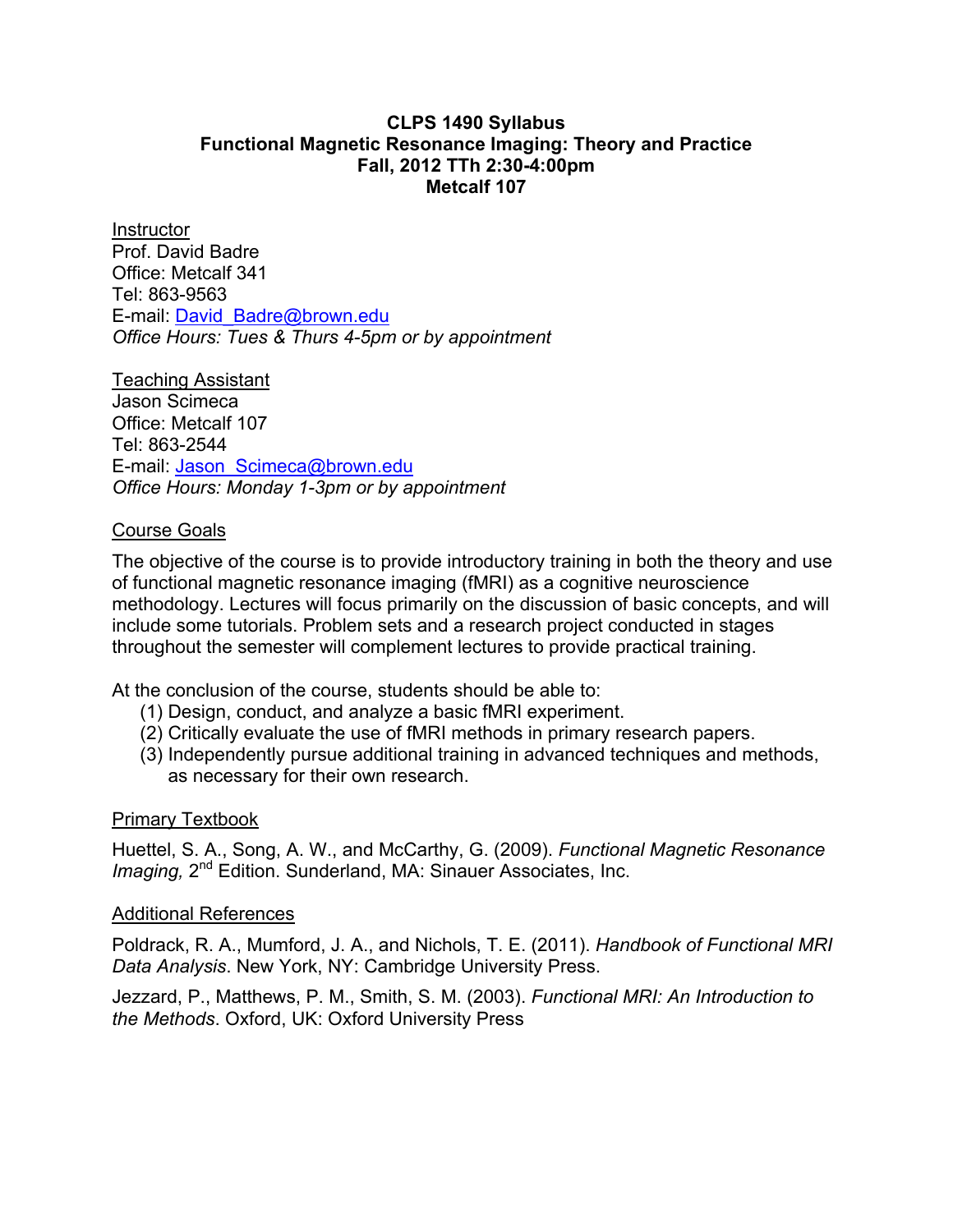#### **CLPS 1490 Syllabus Functional Magnetic Resonance Imaging: Theory and Practice Fall, 2012 TTh 2:30-4:00pm Metcalf 107**

**Instructor** Prof. David Badre Office: Metcalf 341 Tel: 863-9563 E-mail: David\_Badre@brown.edu *Office Hours: Tues & Thurs 4-5pm or by appointment* 

Teaching Assistant Jason Scimeca Office: Metcalf 107 Tel: 863-2544 E-mail: Jason\_Scimeca@brown.edu *Office Hours: Monday 1-3pm or by appointment*

#### Course Goals

The objective of the course is to provide introductory training in both the theory and use of functional magnetic resonance imaging (fMRI) as a cognitive neuroscience methodology. Lectures will focus primarily on the discussion of basic concepts, and will include some tutorials. Problem sets and a research project conducted in stages throughout the semester will complement lectures to provide practical training.

At the conclusion of the course, students should be able to:

- (1) Design, conduct, and analyze a basic fMRI experiment.
- (2) Critically evaluate the use of fMRI methods in primary research papers.
- (3) Independently pursue additional training in advanced techniques and methods, as necessary for their own research.

#### Primary Textbook

Huettel, S. A., Song, A. W., and McCarthy, G. (2009). *Functional Magnetic Resonance Imaging,* 2<sup>nd</sup> Edition. Sunderland, MA: Sinauer Associates, Inc.

#### Additional References

Poldrack, R. A., Mumford, J. A., and Nichols, T. E. (2011). *Handbook of Functional MRI Data Analysis*. New York, NY: Cambridge University Press.

Jezzard, P., Matthews, P. M., Smith, S. M. (2003). *Functional MRI: An Introduction to the Methods*. Oxford, UK: Oxford University Press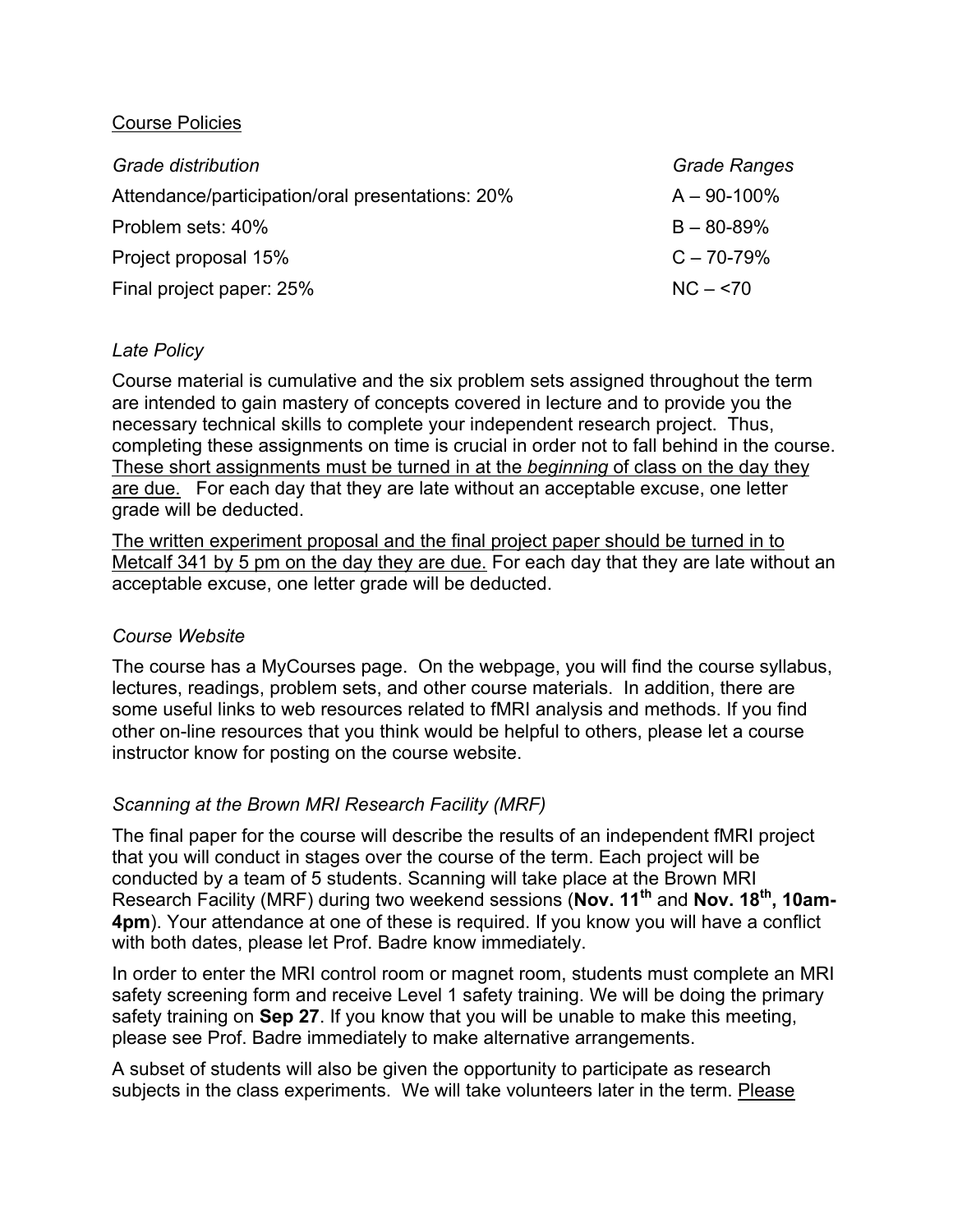## Course Policies

| Grade distribution                               | <b>Grade Ranges</b> |
|--------------------------------------------------|---------------------|
| Attendance/participation/oral presentations: 20% | $A - 90 - 100\%$    |
| Problem sets: 40%                                | $B - 80 - 89%$      |
| Project proposal 15%                             | $C - 70 - 79%$      |
| Final project paper: 25%                         | $NC - 570$          |

### *Late Policy*

Course material is cumulative and the six problem sets assigned throughout the term are intended to gain mastery of concepts covered in lecture and to provide you the necessary technical skills to complete your independent research project. Thus, completing these assignments on time is crucial in order not to fall behind in the course. These short assignments must be turned in at the *beginning* of class on the day they are due. For each day that they are late without an acceptable excuse, one letter grade will be deducted.

The written experiment proposal and the final project paper should be turned in to Metcalf 341 by 5 pm on the day they are due. For each day that they are late without an acceptable excuse, one letter grade will be deducted.

#### *Course Website*

The course has a MyCourses page. On the webpage, you will find the course syllabus, lectures, readings, problem sets, and other course materials. In addition, there are some useful links to web resources related to fMRI analysis and methods. If you find other on-line resources that you think would be helpful to others, please let a course instructor know for posting on the course website.

# *Scanning at the Brown MRI Research Facility (MRF)*

The final paper for the course will describe the results of an independent fMRI project that you will conduct in stages over the course of the term. Each project will be conducted by a team of 5 students. Scanning will take place at the Brown MRI Research Facility (MRF) during two weekend sessions (**Nov. 11th** and **Nov. 18th, 10am-4pm**). Your attendance at one of these is required. If you know you will have a conflict with both dates, please let Prof. Badre know immediately.

In order to enter the MRI control room or magnet room, students must complete an MRI safety screening form and receive Level 1 safety training. We will be doing the primary safety training on **Sep 27**. If you know that you will be unable to make this meeting, please see Prof. Badre immediately to make alternative arrangements.

A subset of students will also be given the opportunity to participate as research subjects in the class experiments. We will take volunteers later in the term. Please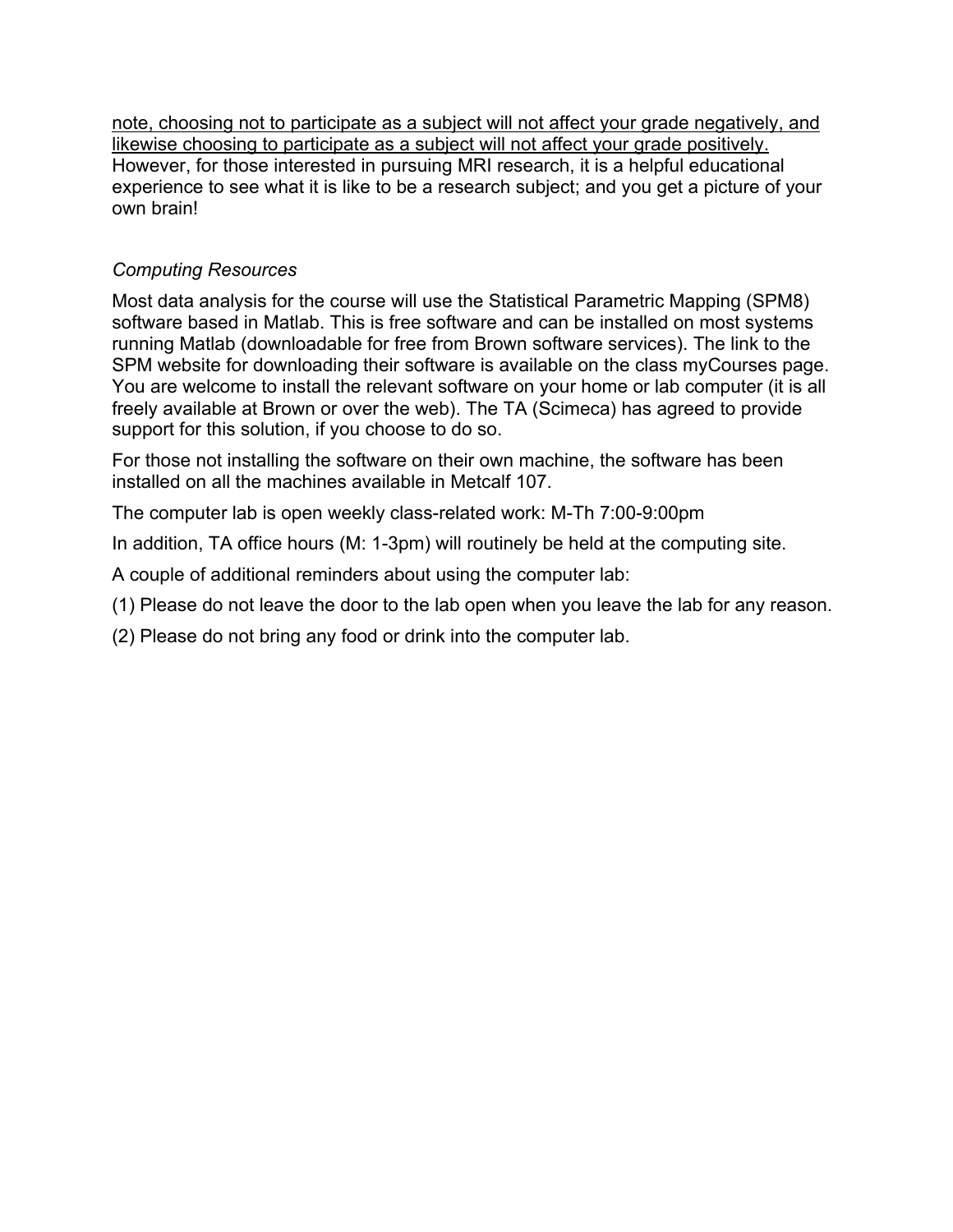note, choosing not to participate as a subject will not affect your grade negatively, and likewise choosing to participate as a subject will not affect your grade positively. However, for those interested in pursuing MRI research, it is a helpful educational experience to see what it is like to be a research subject; and you get a picture of your own brain!

# *Computing Resources*

Most data analysis for the course will use the Statistical Parametric Mapping (SPM8) software based in Matlab. This is free software and can be installed on most systems running Matlab (downloadable for free from Brown software services). The link to the SPM website for downloading their software is available on the class myCourses page. You are welcome to install the relevant software on your home or lab computer (it is all freely available at Brown or over the web). The TA (Scimeca) has agreed to provide support for this solution, if you choose to do so.

For those not installing the software on their own machine, the software has been installed on all the machines available in Metcalf 107.

The computer lab is open weekly class-related work: M-Th 7:00-9:00pm

In addition, TA office hours (M: 1-3pm) will routinely be held at the computing site.

A couple of additional reminders about using the computer lab:

(1) Please do not leave the door to the lab open when you leave the lab for any reason.

(2) Please do not bring any food or drink into the computer lab.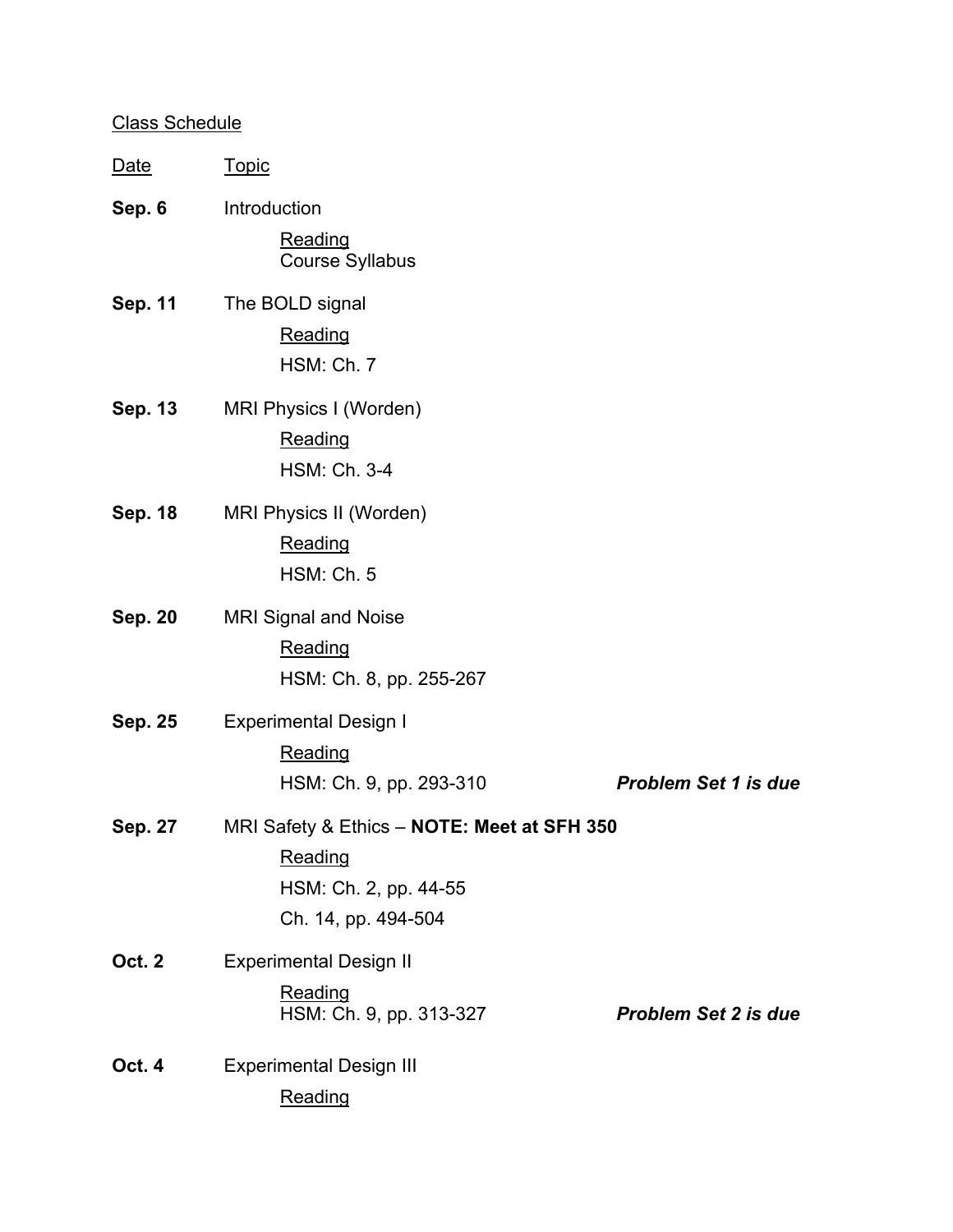# Class Schedule

| <u>Date</u>    | <b>Topic</b>                                                                                           |                             |
|----------------|--------------------------------------------------------------------------------------------------------|-----------------------------|
| Sep. 6         | Introduction<br><b>Reading</b><br><b>Course Syllabus</b>                                               |                             |
| <b>Sep. 11</b> | The BOLD signal<br>Reading<br>HSM: Ch. 7                                                               |                             |
| Sep. 13        | MRI Physics I (Worden)<br>Reading<br><b>HSM: Ch. 3-4</b>                                               |                             |
| <b>Sep. 18</b> | MRI Physics II (Worden)<br><b>Reading</b><br>HSM: Ch. 5                                                |                             |
| <b>Sep. 20</b> | <b>MRI Signal and Noise</b><br>Reading<br>HSM: Ch. 8, pp. 255-267                                      |                             |
| <b>Sep. 25</b> | <b>Experimental Design I</b><br>Reading<br>HSM: Ch. 9, pp. 293-310                                     | <b>Problem Set 1 is due</b> |
| <b>Sep. 27</b> | MRI Safety & Ethics - NOTE: Meet at SFH 350<br>Reading<br>HSM: Ch. 2, pp. 44-55<br>Ch. 14, pp. 494-504 |                             |
| <b>Oct. 2</b>  | <b>Experimental Design II</b><br>Reading<br>HSM: Ch. 9, pp. 313-327                                    | <b>Problem Set 2 is due</b> |
| Oct. 4         | <b>Experimental Design III</b><br>Reading                                                              |                             |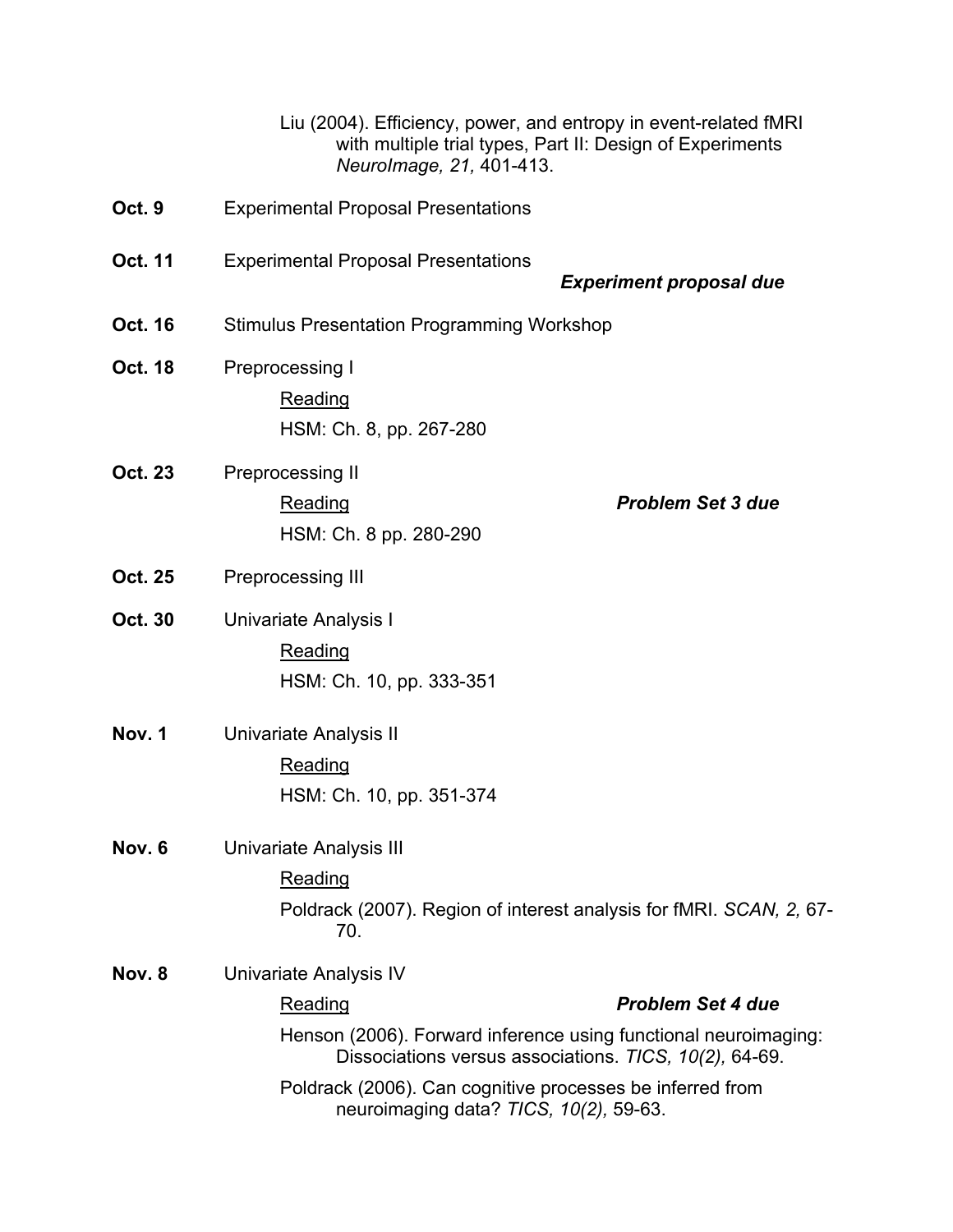| Liu (2004). Efficiency, power, and entropy in event-related fMRI<br>with multiple trial types, Part II: Design of Experiments<br>Neurolmage, 21, 401-413.                                                                                                                                         |  |
|---------------------------------------------------------------------------------------------------------------------------------------------------------------------------------------------------------------------------------------------------------------------------------------------------|--|
| <b>Experimental Proposal Presentations</b>                                                                                                                                                                                                                                                        |  |
| <b>Experimental Proposal Presentations</b><br><b>Experiment proposal due</b>                                                                                                                                                                                                                      |  |
| <b>Stimulus Presentation Programming Workshop</b>                                                                                                                                                                                                                                                 |  |
| Preprocessing I<br>Reading<br>HSM: Ch. 8, pp. 267-280                                                                                                                                                                                                                                             |  |
| Preprocessing II<br><b>Problem Set 3 due</b><br><b>Reading</b><br>HSM: Ch. 8 pp. 280-290                                                                                                                                                                                                          |  |
| Preprocessing III                                                                                                                                                                                                                                                                                 |  |
| Univariate Analysis I<br>Reading<br>HSM: Ch. 10, pp. 333-351                                                                                                                                                                                                                                      |  |
| Univariate Analysis II<br><b>Reading</b><br>HSM: Ch. 10, pp. 351-374                                                                                                                                                                                                                              |  |
| <b>Univariate Analysis III</b><br><b>Reading</b><br>Poldrack (2007). Region of interest analysis for fMRI. SCAN, 2, 67-<br>70.                                                                                                                                                                    |  |
| Univariate Analysis IV<br><b>Problem Set 4 due</b><br>Reading<br>Henson (2006). Forward inference using functional neuroimaging:<br>Dissociations versus associations. TICS, 10(2), 64-69.<br>Poldrack (2006). Can cognitive processes be inferred from<br>neuroimaging data? TICS, 10(2), 59-63. |  |
|                                                                                                                                                                                                                                                                                                   |  |